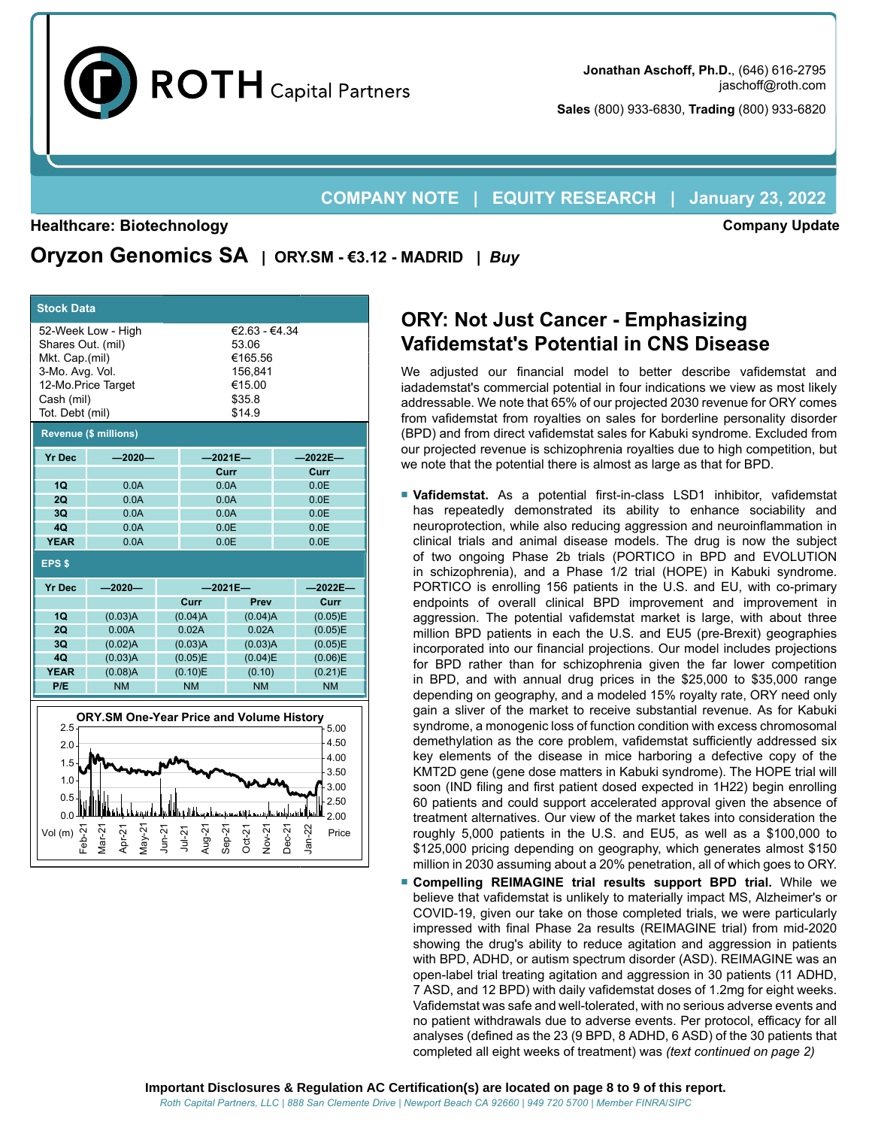

**Company Update**

**Sales** (800) 933-6830, **Trading** (800) 933-6820

### **COMPANY NOTE | EQUITY RESEARCH | January 23, 2022**

#### **Healthcare: Biotechnology**

**Oryzon Genomics SA | ORY.SM - €3.12 - MADRID |** *Buy*

| <b>Stock Data</b>                                                                                                                                                                                                 |                                                 |           |                      |                     |        |                      |  |  |  |
|-------------------------------------------------------------------------------------------------------------------------------------------------------------------------------------------------------------------|-------------------------------------------------|-----------|----------------------|---------------------|--------|----------------------|--|--|--|
| 52-Week Low - High<br>€2.63 - €4.34<br>Shares Out. (mil)<br>53.06<br>Mkt. Cap.(mil)<br>€165.56<br>3-Mo. Avg. Vol.<br>156.841<br>12-Mo.Price Target<br>€15.00<br>\$35.8<br>Cash (mil)<br>Tot. Debt (mil)<br>\$14.9 |                                                 |           |                      |                     |        |                      |  |  |  |
|                                                                                                                                                                                                                   | <b>Revenue (\$ millions)</b>                    |           |                      |                     |        |                      |  |  |  |
| <b>Yr Dec</b>                                                                                                                                                                                                     | $-2020-$                                        |           |                      | $-2021E-$           |        | $-2022E-$            |  |  |  |
|                                                                                                                                                                                                                   |                                                 |           |                      | Curr                |        | Curr                 |  |  |  |
| 1Q<br>2Q                                                                                                                                                                                                          | 0.0A<br>0.0A                                    |           |                      | 0.0A<br>0.0A        |        | 0.0E<br>0.0E         |  |  |  |
| 3 <sub>O</sub>                                                                                                                                                                                                    | 0.0A                                            |           |                      | 0.0A                |        | 0.0E                 |  |  |  |
| 40                                                                                                                                                                                                                | 0.0A                                            |           |                      | 0.0E                |        | 0.0E                 |  |  |  |
| <b>YEAR</b>                                                                                                                                                                                                       | 0.0A                                            |           |                      | 0.0E                |        | 0.0E                 |  |  |  |
| <b>EPS \$</b>                                                                                                                                                                                                     |                                                 |           |                      |                     |        |                      |  |  |  |
| <b>Yr Dec</b>                                                                                                                                                                                                     | $-2020-$                                        |           | $-2021E-$            | $-2022E-$           |        |                      |  |  |  |
|                                                                                                                                                                                                                   |                                                 |           | Curr                 | Prev                |        | Curr                 |  |  |  |
|                                                                                                                                                                                                                   |                                                 |           |                      |                     |        |                      |  |  |  |
| <b>1Q</b>                                                                                                                                                                                                         | (0.03)A                                         |           | (0.04)A              | (0.04)A             |        | (0.05)E              |  |  |  |
| 2Q                                                                                                                                                                                                                | 0.00A                                           |           | 0.02A                | 0.02A               |        | (0.05)E              |  |  |  |
| 3Q                                                                                                                                                                                                                | (0.02)A                                         |           | (0.03)A              | (0.03)A             |        | (0.05)E              |  |  |  |
| 4Q<br><b>YEAR</b>                                                                                                                                                                                                 | (0.03)A                                         |           | (0.05)E              | (0.04)E             |        | (0.06)E              |  |  |  |
| P/E                                                                                                                                                                                                               | (0.08)A<br><b>NM</b>                            |           | (0.10)E<br><b>NM</b> | (0.10)<br><b>NM</b> |        | (0.21)E<br><b>NM</b> |  |  |  |
|                                                                                                                                                                                                                   |                                                 |           |                      |                     |        |                      |  |  |  |
| 2.5                                                                                                                                                                                                               | <b>ORY.SM One-Year Price and Volume History</b> |           |                      |                     |        | 5.00                 |  |  |  |
| 2.0                                                                                                                                                                                                               |                                                 |           |                      |                     |        | 4.50                 |  |  |  |
|                                                                                                                                                                                                                   |                                                 |           |                      |                     |        | 4.00                 |  |  |  |
| 1.5                                                                                                                                                                                                               |                                                 |           |                      |                     |        | 3.50                 |  |  |  |
| 1.0 <sub>1</sub>                                                                                                                                                                                                  |                                                 |           |                      |                     |        | 3.00                 |  |  |  |
| 0.5                                                                                                                                                                                                               |                                                 |           |                      |                     |        | 2.50                 |  |  |  |
| 0.0<br>Vol(m)                                                                                                                                                                                                     | Var-21<br>$\text{May-21}$<br>Apr-21             | $J$ un-21 | $Jul-21$             | $Step-2$<br>Nov-2'  | Dec-2' | 2.00<br>Price        |  |  |  |

# **ORY: Not Just Cancer - Emphasizing Vafidemstat's Potential in CNS Disease**

We adjusted our financial model to better describe vafidemstat and iadademstat's commercial potential in four indications we view as most likely addressable. We note that 65% of our projected 2030 revenue for ORY comes from vafidemstat from royalties on sales for borderline personality disorder (BPD) and from direct vafidemstat sales for Kabuki syndrome. Excluded from our projected revenue is schizophrenia royalties due to high competition, but we note that the potential there is almost as large as that for BPD.

- **Vafidemstat.** As a potential first-in-class LSD1 inhibitor, vafidemstat has repeatedly demonstrated its ability to enhance sociability and neuroprotection, while also reducing aggression and neuroinflammation in clinical trials and animal disease models. The drug is now the subject of two ongoing Phase 2b trials (PORTICO in BPD and EVOLUTION in schizophrenia), and a Phase 1/2 trial (HOPE) in Kabuki syndrome. PORTICO is enrolling 156 patients in the U.S. and EU, with co-primary endpoints of overall clinical BPD improvement and improvement in aggression. The potential vafidemstat market is large, with about three million BPD patients in each the U.S. and EU5 (pre-Brexit) geographies incorporated into our financial projections. Our model includes projections for BPD rather than for schizophrenia given the far lower competition in BPD, and with annual drug prices in the \$25,000 to \$35,000 range depending on geography, and a modeled 15% royalty rate, ORY need only gain a sliver of the market to receive substantial revenue. As for Kabuki syndrome, a monogenic loss of function condition with excess chromosomal demethylation as the core problem, vafidemstat sufficiently addressed six key elements of the disease in mice harboring a defective copy of the KMT2D gene (gene dose matters in Kabuki syndrome). The HOPE trial will soon (IND filing and first patient dosed expected in 1H22) begin enrolling 60 patients and could support accelerated approval given the absence of treatment alternatives. Our view of the market takes into consideration the roughly 5,000 patients in the U.S. and EU5, as well as a \$100,000 to \$125,000 pricing depending on geography, which generates almost \$150 million in 2030 assuming about a 20% penetration, all of which goes to ORY.
- **Compelling REIMAGINE trial results support BPD trial.** While we believe that vafidemstat is unlikely to materially impact MS, Alzheimer's or COVID-19, given our take on those completed trials, we were particularly impressed with final Phase 2a results (REIMAGINE trial) from mid-2020 showing the drug's ability to reduce agitation and aggression in patients with BPD, ADHD, or autism spectrum disorder (ASD). REIMAGINE was an open-label trial treating agitation and aggression in 30 patients (11 ADHD, 7 ASD, and 12 BPD) with daily vafidemstat doses of 1.2mg for eight weeks. Vafidemstat was safe and well-tolerated, with no serious adverse events and no patient withdrawals due to adverse events. Per protocol, efficacy for all analyses (defined as the 23 (9 BPD, 8 ADHD, 6 ASD) of the 30 patients that completed all eight weeks of treatment) was *(text continued on page 2)*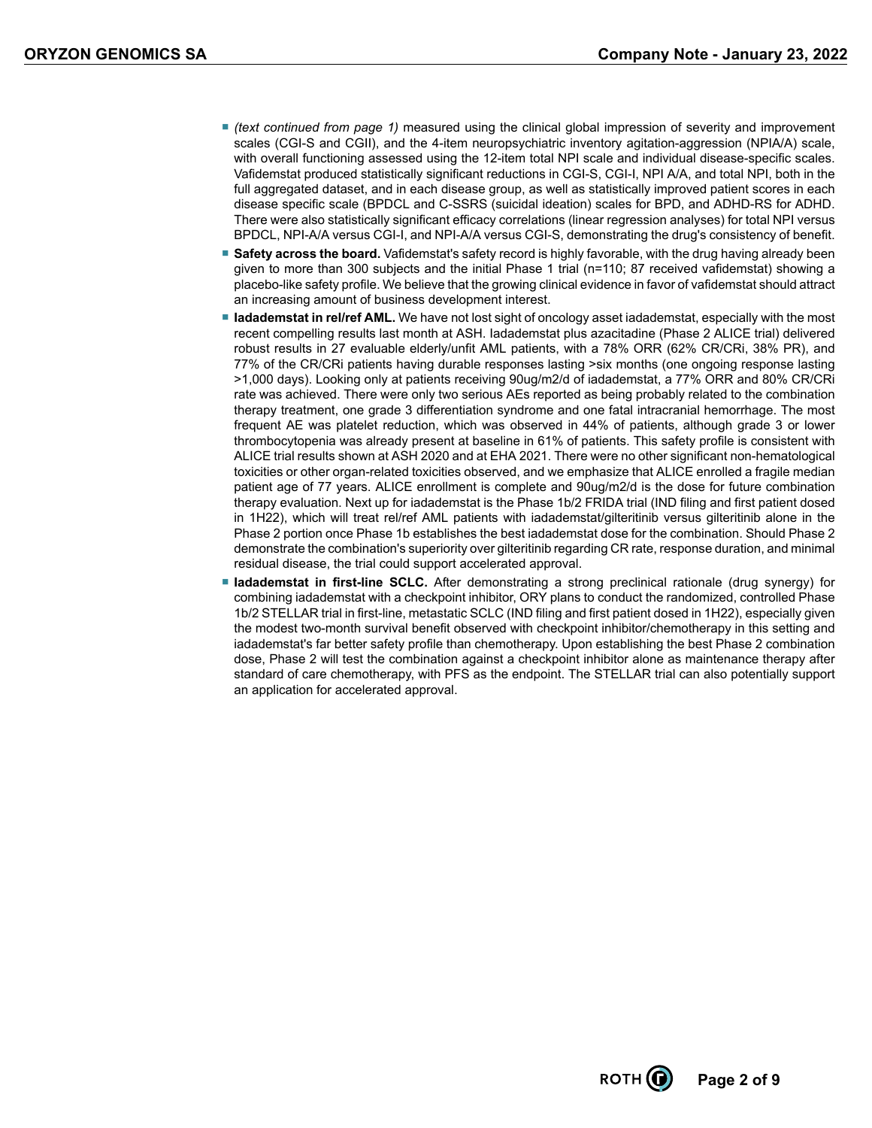- *(text continued from page 1)* measured using the clinical global impression of severity and improvement scales (CGI-S and CGII), and the 4-item neuropsychiatric inventory agitation-aggression (NPIA/A) scale, with overall functioning assessed using the 12-item total NPI scale and individual disease-specific scales. Vafidemstat produced statistically significant reductions in CGI-S, CGI-I, NPI A/A, and total NPI, both in the full aggregated dataset, and in each disease group, as well as statistically improved patient scores in each disease specific scale (BPDCL and C-SSRS (suicidal ideation) scales for BPD, and ADHD-RS for ADHD. There were also statistically significant efficacy correlations (linear regression analyses) for total NPI versus BPDCL, NPI-A/A versus CGI-I, and NPI-A/A versus CGI-S, demonstrating the drug's consistency of benefit.
- **Safety across the board.** Vafidemstat's safety record is highly favorable, with the drug having already been given to more than 300 subjects and the initial Phase 1 trial (n=110; 87 received vafidemstat) showing a placebo-like safety profile. We believe that the growing clinical evidence in favor of vafidemstat should attract an increasing amount of business development interest.
- **Iadademstat in rel/ref AML**. We have not lost sight of oncology asset iadademstat, especially with the most recent compelling results last month at ASH. Iadademstat plus azacitadine (Phase 2 ALICE trial) delivered robust results in 27 evaluable elderly/unfit AML patients, with a 78% ORR (62% CR/CRi, 38% PR), and 77% of the CR/CRi patients having durable responses lasting >six months (one ongoing response lasting >1,000 days). Looking only at patients receiving 90ug/m2/d of iadademstat, a 77% ORR and 80% CR/CRi rate was achieved. There were only two serious AEs reported as being probably related to the combination therapy treatment, one grade 3 differentiation syndrome and one fatal intracranial hemorrhage. The most frequent AE was platelet reduction, which was observed in 44% of patients, although grade 3 or lower thrombocytopenia was already present at baseline in 61% of patients. This safety profile is consistent with ALICE trial results shown at ASH 2020 and at EHA 2021. There were no other significant non-hematological toxicities or other organ-related toxicities observed, and we emphasize that ALICE enrolled a fragile median patient age of 77 years. ALICE enrollment is complete and 90ug/m2/d is the dose for future combination therapy evaluation. Next up for iadademstat is the Phase 1b/2 FRIDA trial (IND filing and first patient dosed in 1H22), which will treat rel/ref AML patients with iadademstat/gilteritinib versus gilteritinib alone in the Phase 2 portion once Phase 1b establishes the best iadademstat dose for the combination. Should Phase 2 demonstrate the combination's superiority over gilteritinib regarding CR rate, response duration, and minimal residual disease, the trial could support accelerated approval.
- **Iadademstat in first-line SCLC.** After demonstrating a strong preclinical rationale (drug synergy) for combining iadademstat with a checkpoint inhibitor, ORY plans to conduct the randomized, controlled Phase 1b/2 STELLAR trial in first-line, metastatic SCLC (IND filing and first patient dosed in 1H22), especially given the modest two-month survival benefit observed with checkpoint inhibitor/chemotherapy in this setting and iadademstat's far better safety profile than chemotherapy. Upon establishing the best Phase 2 combination dose, Phase 2 will test the combination against a checkpoint inhibitor alone as maintenance therapy after standard of care chemotherapy, with PFS as the endpoint. The STELLAR trial can also potentially support an application for accelerated approval.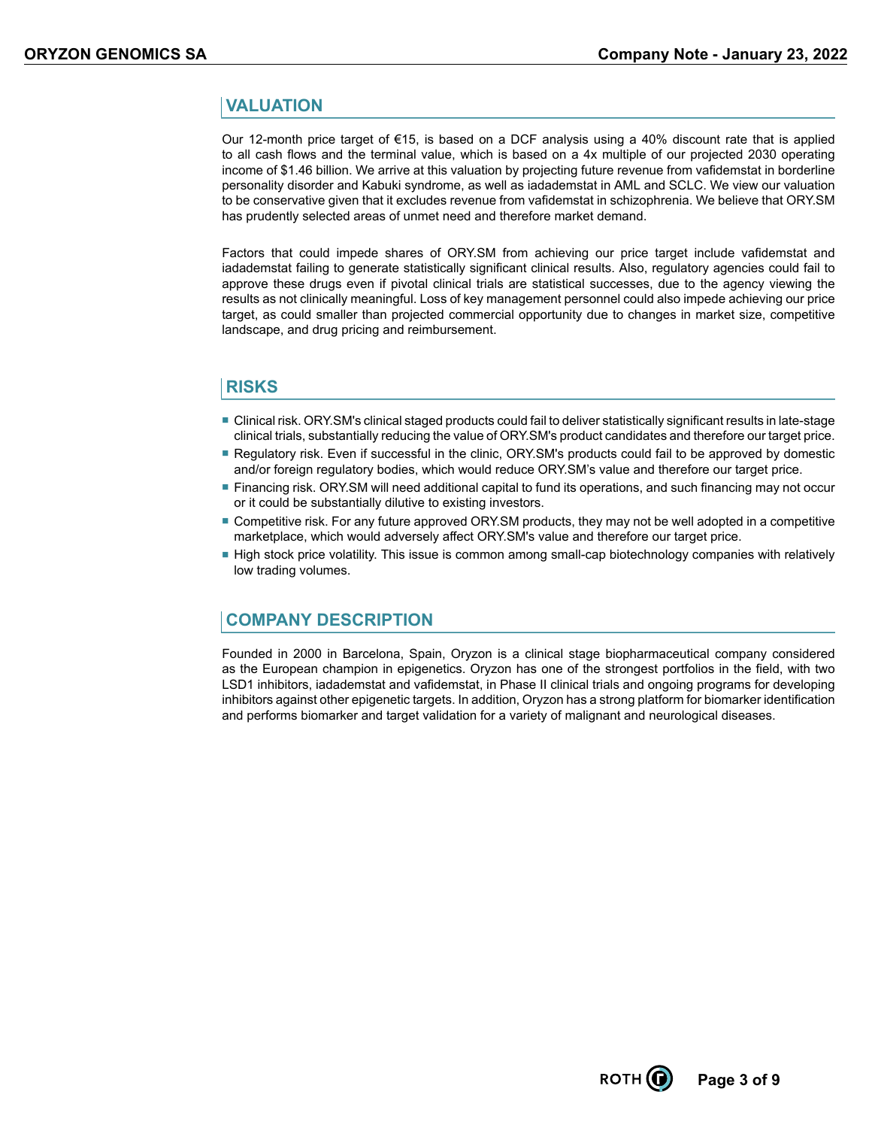#### **VALUATION**

Our 12-month price target of €15, is based on a DCF analysis using a 40% discount rate that is applied to all cash flows and the terminal value, which is based on a 4x multiple of our projected 2030 operating income of \$1.46 billion. We arrive at this valuation by projecting future revenue from vafidemstat in borderline personality disorder and Kabuki syndrome, as well as iadademstat in AML and SCLC. We view our valuation to be conservative given that it excludes revenue from vafidemstat in schizophrenia. We believe that ORY.SM has prudently selected areas of unmet need and therefore market demand.

Factors that could impede shares of ORY.SM from achieving our price target include vafidemstat and iadademstat failing to generate statistically significant clinical results. Also, regulatory agencies could fail to approve these drugs even if pivotal clinical trials are statistical successes, due to the agency viewing the results as not clinically meaningful. Loss of key management personnel could also impede achieving our price target, as could smaller than projected commercial opportunity due to changes in market size, competitive landscape, and drug pricing and reimbursement.

#### **RISKS**

- Clinical risk. ORY.SM's clinical staged products could fail to deliver statistically significant results in late-stage clinical trials, substantially reducing the value of ORY.SM's product candidates and therefore our target price.
- Regulatory risk. Even if successful in the clinic, ORY.SM's products could fail to be approved by domestic and/or foreign regulatory bodies, which would reduce ORY.SM's value and therefore our target price.
- Financing risk. ORY.SM will need additional capital to fund its operations, and such financing may not occur or it could be substantially dilutive to existing investors.
- Competitive risk. For any future approved ORY. SM products, they may not be well adopted in a competitive marketplace, which would adversely affect ORY.SM's value and therefore our target price.
- High stock price volatility. This issue is common among small-cap biotechnology companies with relatively low trading volumes.

#### **COMPANY DESCRIPTION**

Founded in 2000 in Barcelona, Spain, Oryzon is a clinical stage biopharmaceutical company considered as the European champion in epigenetics. Oryzon has one of the strongest portfolios in the field, with two LSD1 inhibitors, iadademstat and vafidemstat, in Phase II clinical trials and ongoing programs for developing inhibitors against other epigenetic targets. In addition, Oryzon has a strong platform for biomarker identification and performs biomarker and target validation for a variety of malignant and neurological diseases.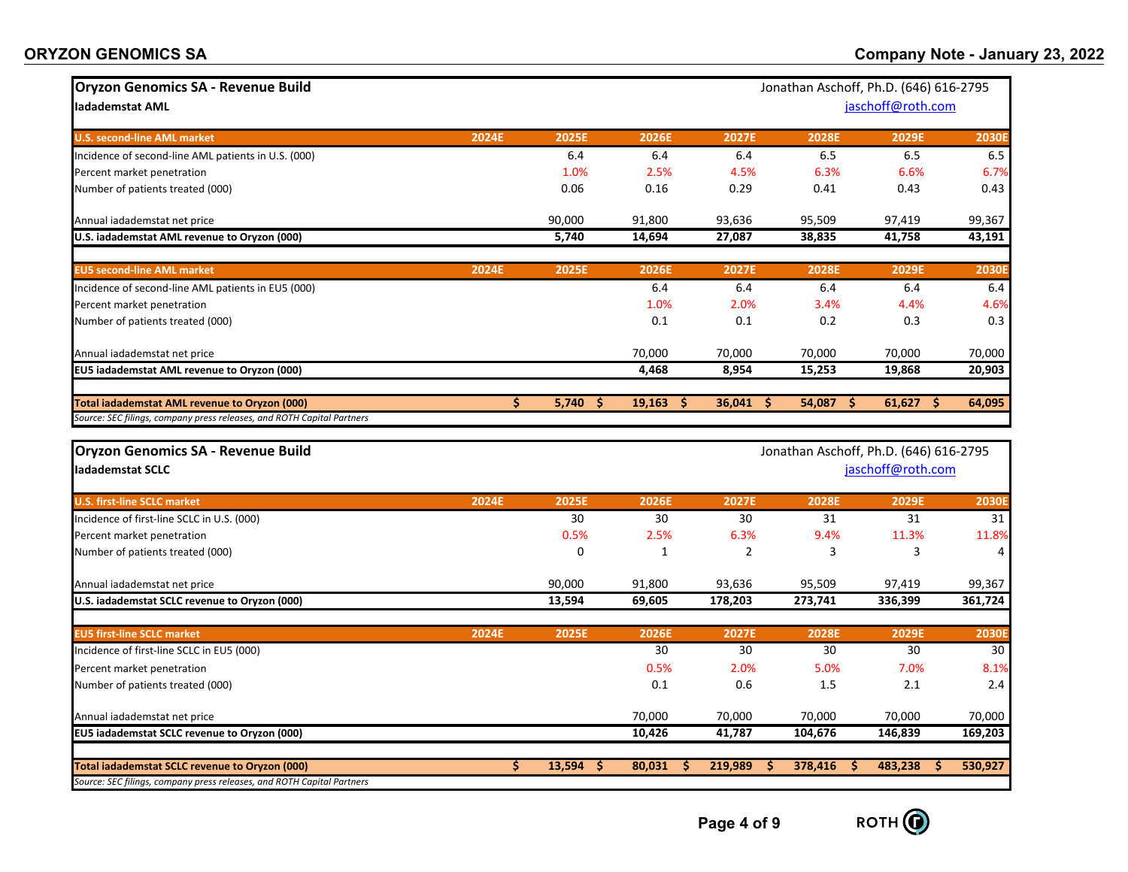| <b>Oryzon Genomics SA - Revenue Build</b>                              |       |              |              |                |              | Jonathan Aschoff, Ph.D. (646) 616-2795 |              |
|------------------------------------------------------------------------|-------|--------------|--------------|----------------|--------------|----------------------------------------|--------------|
| ladademstat AML                                                        |       |              |              |                |              | jaschoff@roth.com                      |              |
|                                                                        |       |              |              |                |              |                                        |              |
| <b>U.S. second-line AML market</b>                                     | 2024E | 2025E        | 2026E        | 2027E          | 2028E        | 2029E                                  | <b>2030E</b> |
| Incidence of second-line AML patients in U.S. (000)                    |       | 6.4          | 6.4          | 6.4            | 6.5          | 6.5                                    | 6.5          |
| Percent market penetration                                             |       | 1.0%         | 2.5%         | 4.5%           | 6.3%         | 6.6%                                   | 6.7%         |
| Number of patients treated (000)                                       |       | 0.06         | 0.16         | 0.29           | 0.41         | 0.43                                   | 0.43         |
| Annual iadademstat net price                                           |       | 90,000       | 91,800       | 93,636         | 95,509       | 97,419                                 | 99,367       |
| U.S. iadademstat AML revenue to Oryzon (000)                           |       | 5,740        | 14,694       | 27,087         | 38,835       | 41,758                                 | 43,191       |
| <b>EU5 second-line AML market</b>                                      | 2024E | 2025E        | 2026E        | 2027E          | <b>2028E</b> | 2029E                                  | <b>2030E</b> |
| Incidence of second-line AML patients in EU5 (000)                     |       |              | 6.4          | 6.4            | 6.4          | 6.4                                    | 6.4          |
| Percent market penetration                                             |       |              | 1.0%         | 2.0%           | 3.4%         | 4.4%                                   | 4.6%         |
| Number of patients treated (000)                                       |       |              | 0.1          | 0.1            | 0.2          | 0.3                                    | 0.3          |
| Annual iadademstat net price                                           |       |              | 70,000       | 70,000         | 70,000       | 70,000                                 | 70,000       |
| EU5 iadademstat AML revenue to Oryzon (000)                            |       |              | 4,468        | 8,954          | 15,253       | 19,868                                 | 20,903       |
| Total iadademstat AML revenue to Oryzon (000)                          | \$    | 5,740<br>-Ŝ  | 19,163<br>Ŝ. | 36,041<br>Ŝ    | 54,087<br>.S | 61,627<br>Ŝ.                           | 64,095       |
| Source: SEC filings, company press releases, and ROTH Capital Partners |       |              |              |                |              |                                        |              |
| Oryzon Genomics SA - Revenue Build                                     |       |              |              |                |              | Jonathan Aschoff, Ph.D. (646) 616-2795 |              |
| ladademstat SCLC                                                       |       |              |              |                |              | jaschoff@roth.com                      |              |
|                                                                        |       |              |              |                |              |                                        |              |
| <b>U.S. first-line SCLC market</b>                                     | 2024E | 2025E        | 2026E        | 2027E          | 2028E        | 2029E                                  | <b>2030E</b> |
| Incidence of first-line SCLC in U.S. (000)                             |       | 30           | 30           | 30             | 31           | 31                                     | 31           |
| Percent market penetration                                             |       | 0.5%         | 2.5%         | 6.3%           | 9.4%         | 11.3%                                  | 11.8%        |
| Number of patients treated (000)                                       |       | 0            | $\mathbf{1}$ | $\overline{2}$ | 3            | 3                                      | 4            |
| Annual iadademstat net price                                           |       | 90,000       | 91,800       | 93,636         | 95,509       | 97,419                                 | 99,367       |
| U.S. iadademstat SCLC revenue to Oryzon (000)                          |       | 13,594       | 69,605       | 178,203        | 273,741      | 336,399                                | 361,724      |
| <b>EU5 first-line SCLC market</b>                                      | 2024E | <b>2025E</b> | 2026E        | 2027E          | <b>2028E</b> | 2029E                                  | 2030E        |
| Incidence of first-line SCLC in EU5 (000)                              |       |              | 30           | 30             | 30           | 30                                     | 30           |
| Percent market penetration                                             |       |              | 0.5%         | 2.0%           | 5.0%         | 7.0%                                   | 8.1%         |
| Number of patients treated (000)                                       |       |              | 0.1          | 0.6            | 1.5          | 2.1                                    | 2.4          |
| Annual iadademstat net price                                           |       |              | 70,000       | 70,000         | 70,000       | 70,000                                 | 70,000       |
| EU5 iadademstat SCLC revenue to Oryzon (000)                           |       |              | 10,426       | 41,787         | 104,676      | 146,839                                | 169,203      |
|                                                                        |       |              |              |                |              |                                        |              |
| Total iadademstat SCLC revenue to Oryzon (000)                         | Ś.    | 13,594<br>-S | 80,031<br>s  | 219,989<br>S.  | 378,416<br>s | 483,238<br>S.                          | 530,927      |

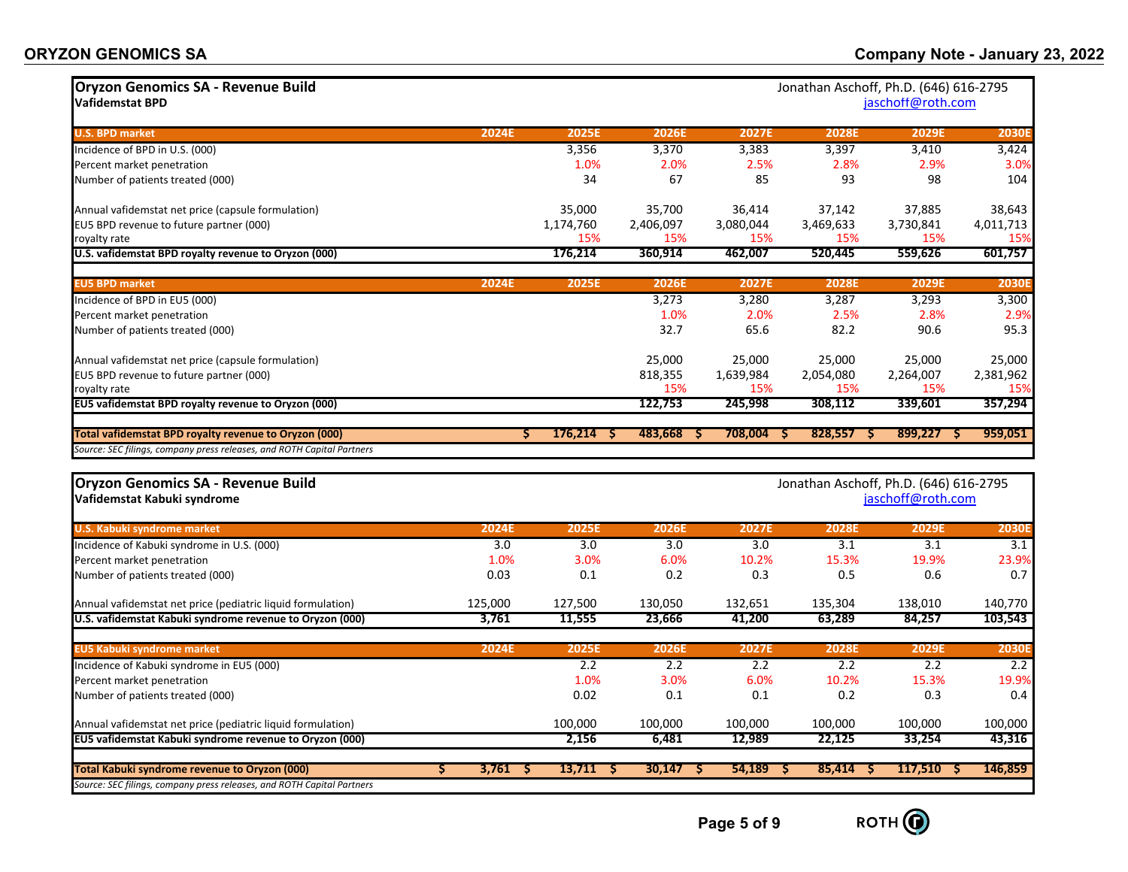| <b>Oryzon Genomics SA - Revenue Build</b><br><b>Vafidemstat BPD</b>      |             |                                | Jonathan Aschoff, Ph.D. (646) 616-2795<br>jaschoff@roth.com |              |                                        |                   |              |  |  |
|--------------------------------------------------------------------------|-------------|--------------------------------|-------------------------------------------------------------|--------------|----------------------------------------|-------------------|--------------|--|--|
| <b>U.S. BPD market</b>                                                   | 2024E       | 2025E                          | 2026E                                                       | 2027E        | 2028E                                  | 2029E             | <b>2030E</b> |  |  |
| Incidence of BPD in U.S. (000)                                           |             | 3,356                          | 3,370                                                       | 3,383        | 3,397                                  | 3,410             | 3,424        |  |  |
| Percent market penetration                                               |             | 1.0%                           | 2.0%                                                        | 2.5%         | 2.8%                                   | 2.9%              | 3.0%         |  |  |
| Number of patients treated (000)                                         |             | 34                             | 67                                                          | 85           | 93                                     | 98                | 104          |  |  |
| Annual vafidemstat net price (capsule formulation)                       |             | 35,000                         | 35,700                                                      | 36,414       | 37,142                                 | 37,885            | 38,643       |  |  |
| EU5 BPD revenue to future partner (000)                                  |             | 1,174,760                      | 2,406,097                                                   | 3,080,044    | 3,469,633                              | 3,730,841         | 4,011,713    |  |  |
| royalty rate                                                             |             | 15%                            | 15%                                                         | 15%          | 15%                                    | 15%               | 15%          |  |  |
| U.S. vafidemstat BPD royalty revenue to Oryzon (000)                     |             | 176,214                        | 360,914                                                     | 462,007      | 520,445                                | 559,626           | 601,757      |  |  |
| <b>EU5 BPD market</b>                                                    | 2024E       | 2025E                          | 2026E                                                       | 2027E        | 2028E                                  | 2029E             | <b>2030E</b> |  |  |
| Incidence of BPD in EU5 (000)                                            |             |                                | 3,273                                                       | 3,280        | 3,287                                  | 3,293             | 3,300        |  |  |
| Percent market penetration                                               |             |                                | 1.0%                                                        | 2.0%         | 2.5%                                   | 2.8%              | 2.9%         |  |  |
| Number of patients treated (000)                                         |             |                                | 32.7                                                        | 65.6         | 82.2                                   | 90.6              | 95.3         |  |  |
| Annual vafidemstat net price (capsule formulation)                       |             |                                | 25,000                                                      | 25,000       | 25,000                                 | 25,000            | 25,000       |  |  |
| EU5 BPD revenue to future partner (000)                                  |             |                                | 818,355                                                     | 1,639,984    | 2,054,080                              | 2,264,007         | 2,381,962    |  |  |
| royalty rate                                                             |             |                                | 15%                                                         | 15%          | 15%                                    | 15%               | 15%          |  |  |
| EU5 vafidemstat BPD royalty revenue to Oryzon (000)                      |             |                                | 122,753                                                     | 245,998      | 308,112                                | 339,601           | 357,294      |  |  |
| Total vafidemstat BPD royalty revenue to Oryzon (000)                    | s           | 176,214                        | 483,668                                                     | 708,004<br>s | $828,557$ \$<br>-S                     | 899,227<br>-S     | 959,051      |  |  |
| Source: SEC filings, company press releases, and ROTH Capital Partners   |             |                                |                                                             |              |                                        |                   |              |  |  |
| <b>Oryzon Genomics SA - Revenue Build</b><br>Vafidemstat Kabuki syndrome |             |                                |                                                             |              | Jonathan Aschoff, Ph.D. (646) 616-2795 | jaschoff@roth.com |              |  |  |
| <b>U.S. Kabuki syndrome market</b>                                       | 2024E       | 2025E                          | 2026E                                                       | 2027E        | 2028E                                  | 2029E             | <b>2030E</b> |  |  |
| Incidence of Kabuki syndrome in U.S. (000)                               | 3.0         | 3.0                            | 3.0                                                         | 3.0          | 3.1                                    | 3.1               | 3.1          |  |  |
| Percent market penetration                                               | 1.0%        | 3.0%                           | 6.0%                                                        | 10.2%        | 15.3%                                  | 19.9%             | 23.9%        |  |  |
| Number of patients treated (000)                                         | 0.03        | 0.1                            | 0.2                                                         | 0.3          | 0.5                                    | 0.6               | 0.7          |  |  |
| Annual vafidemstat net price (pediatric liquid formulation)              | 125,000     | 127,500                        | 130,050                                                     | 132,651      | 135,304                                | 138,010           | 140,770      |  |  |
| U.S. vafidemstat Kabuki syndrome revenue to Oryzon (000)                 | 3,761       | 11,555                         | 23,666                                                      | 41,200       | 63,289                                 | 84,257            | 103,543      |  |  |
| <b>EU5 Kabuki syndrome market</b>                                        | 2024E       | 2025E                          | 2026E                                                       | 2027E        | 2028E                                  | 2029E             | <b>2030E</b> |  |  |
| Incidence of Kabuki syndrome in EU5 (000)                                |             | 2.2                            | 2.2                                                         | 2.2          | 2.2                                    | 2.2               | 2.2          |  |  |
| Percent market penetration                                               |             | 1.0%                           | 3.0%                                                        | 6.0%         | 10.2%                                  | 15.3%             | 19.9%        |  |  |
| Number of patients treated (000)                                         |             | 0.02                           | 0.1                                                         | 0.1          | 0.2                                    | 0.3               | 0.4          |  |  |
| Annual vafidemstat net price (pediatric liquid formulation)              |             | 100,000                        | 100,000                                                     | 100,000      | 100,000                                | 100,000           | 100,000      |  |  |
| EU5 vafidemstat Kabuki syndrome revenue to Oryzon (000)                  |             | 2,156                          | 6,481                                                       | 12,989       | 22,125                                 | 33,254            | 43,316       |  |  |
| Total Kabuki syndrome revenue to Oryzon (000)                            | 3,761<br>Ŝ. | 13,711<br><b>S</b><br><b>S</b> | $30,147$ \$                                                 | 54,189       | 85,414<br>-S                           | $117,510$ \$      | 146,859      |  |  |
| Source: SEC filings, company press releases, and ROTH Capital Partners   |             |                                |                                                             |              |                                        |                   |              |  |  |

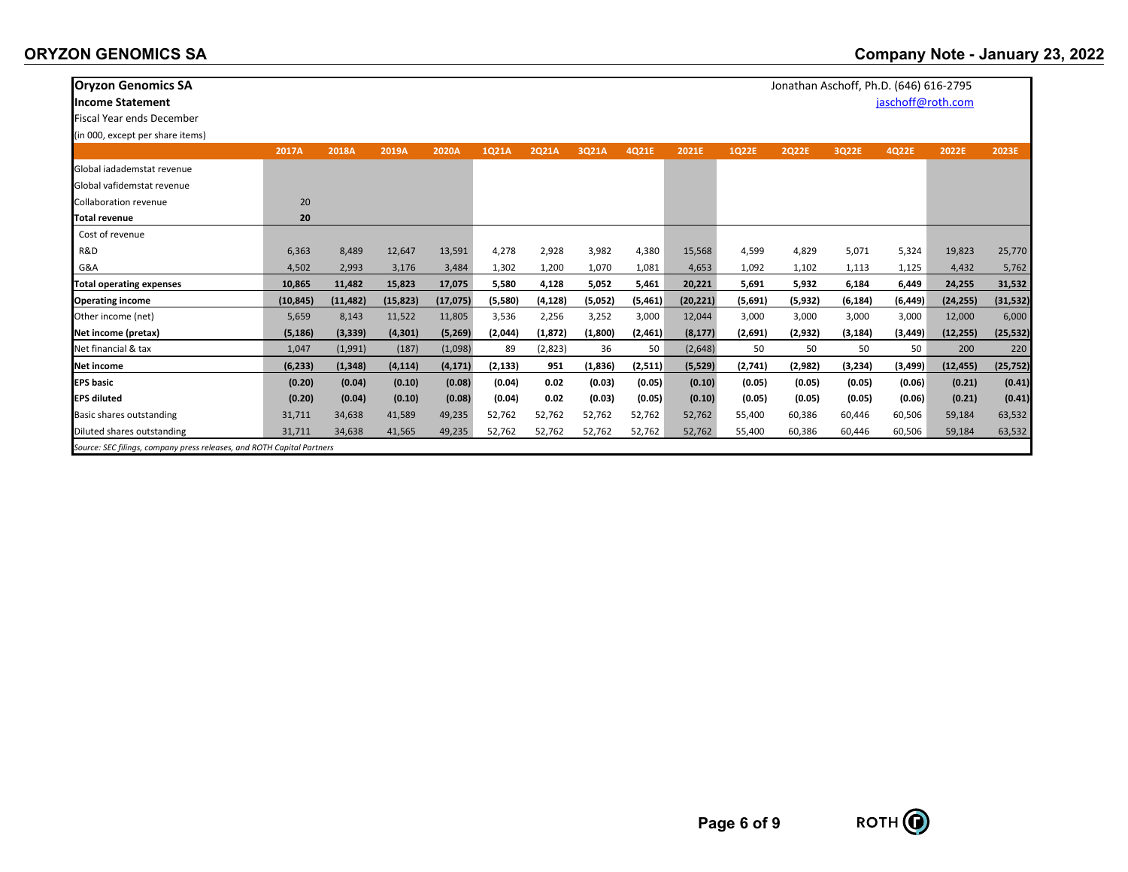| <b>Oryzon Genomics SA</b>                                              |           |           |           |           |          |          |          |         |           |         | Jonathan Aschoff, Ph.D. (646) 616-2795 |          |                   |           |           |
|------------------------------------------------------------------------|-----------|-----------|-----------|-----------|----------|----------|----------|---------|-----------|---------|----------------------------------------|----------|-------------------|-----------|-----------|
| <b>Income Statement</b>                                                |           |           |           |           |          |          |          |         |           |         |                                        |          | jaschoff@roth.com |           |           |
| <b>Fiscal Year ends December</b>                                       |           |           |           |           |          |          |          |         |           |         |                                        |          |                   |           |           |
| (in 000, except per share items)                                       |           |           |           |           |          |          |          |         |           |         |                                        |          |                   |           |           |
|                                                                        | 2017A     | 2018A     | 2019A     | 2020A     | 1Q21A    | 2Q21A    | 3Q21A    | 4Q21E   | 2021E     | 1Q22E   | <b>2Q22E</b>                           | 3Q22E    | 4Q22E             | 2022E     | 2023E     |
| Global iadademstat revenue                                             |           |           |           |           |          |          |          |         |           |         |                                        |          |                   |           |           |
| Global vafidemstat revenue                                             |           |           |           |           |          |          |          |         |           |         |                                        |          |                   |           |           |
| <b>Collaboration revenue</b>                                           | 20        |           |           |           |          |          |          |         |           |         |                                        |          |                   |           |           |
| <b>Total revenue</b>                                                   | 20        |           |           |           |          |          |          |         |           |         |                                        |          |                   |           |           |
| Cost of revenue                                                        |           |           |           |           |          |          |          |         |           |         |                                        |          |                   |           |           |
| R&D                                                                    | 6,363     | 8,489     | 12,647    | 13,591    | 4,278    | 2,928    | 3,982    | 4,380   | 15,568    | 4,599   | 4,829                                  | 5,071    | 5,324             | 19,823    | 25,770    |
| G&A                                                                    | 4,502     | 2,993     | 3,176     | 3,484     | 1,302    | 1,200    | 1,070    | 1,081   | 4,653     | 1,092   | 1,102                                  | 1,113    | 1,125             | 4,432     | 5,762     |
| <b>Total operating expenses</b>                                        | 10,865    | 11,482    | 15,823    | 17,075    | 5,580    | 4,128    | 5,052    | 5,461   | 20,221    | 5,691   | 5,932                                  | 6,184    | 6,449             | 24,255    | 31,532    |
| <b>Operating income</b>                                                | (10, 845) | (11, 482) | (15, 823) | (17, 075) | (5,580)  | (4,128)  | (5,052)  | (5,461) | (20, 221) | (5,691) | (5, 932)                               | (6, 184) | (6, 449)          | (24, 255) | (31, 532) |
| Other income (net)                                                     | 5,659     | 8,143     | 11,522    | 11,805    | 3,536    | 2,256    | 3,252    | 3,000   | 12,044    | 3,000   | 3,000                                  | 3,000    | 3,000             | 12,000    | 6,000     |
| Net income (pretax)                                                    | (5,186)   | (3, 339)  | (4, 301)  | (5,269)   | (2,044)  | (1, 872) | (1,800)  | (2,461) | (8, 177)  | (2,691) | (2,932)                                | (3, 184) | (3, 449)          | (12, 255) | (25, 532) |
| Net financial & tax                                                    | 1,047     | (1,991)   | (187)     | (1,098)   | 89       | (2,823)  | 36       | 50      | (2,648)   | 50      | 50                                     | 50       | 50                | 200       | 220       |
| Net income                                                             | (6, 233)  | (1, 348)  | (4, 114)  | (4, 171)  | (2, 133) | 951      | (1, 836) | (2,511) | (5, 529)  | (2,741) | (2,982)                                | (3,234)  | (3,499)           | (12, 455) | (25, 752) |
| <b>EPS basic</b>                                                       | (0.20)    | (0.04)    | (0.10)    | (0.08)    | (0.04)   | 0.02     | (0.03)   | (0.05)  | (0.10)    | (0.05)  | (0.05)                                 | (0.05)   | (0.06)            | (0.21)    | (0.41)    |
| <b>EPS diluted</b>                                                     | (0.20)    | (0.04)    | (0.10)    | (0.08)    | (0.04)   | 0.02     | (0.03)   | (0.05)  | (0.10)    | (0.05)  | (0.05)                                 | (0.05)   | (0.06)            | (0.21)    | (0.41)    |
| Basic shares outstanding                                               | 31,711    | 34,638    | 41,589    | 49,235    | 52,762   | 52,762   | 52,762   | 52,762  | 52,762    | 55,400  | 60,386                                 | 60,446   | 60,506            | 59,184    | 63,532    |
| Diluted shares outstanding                                             | 31,711    | 34,638    | 41,565    | 49,235    | 52,762   | 52,762   | 52,762   | 52,762  | 52,762    | 55,400  | 60,386                                 | 60,446   | 60,506            | 59,184    | 63,532    |
| Source: SEC filings, company press releases, and ROTH Capital Partners |           |           |           |           |          |          |          |         |           |         |                                        |          |                   |           |           |

## **ORYZON GENOMICS SA**

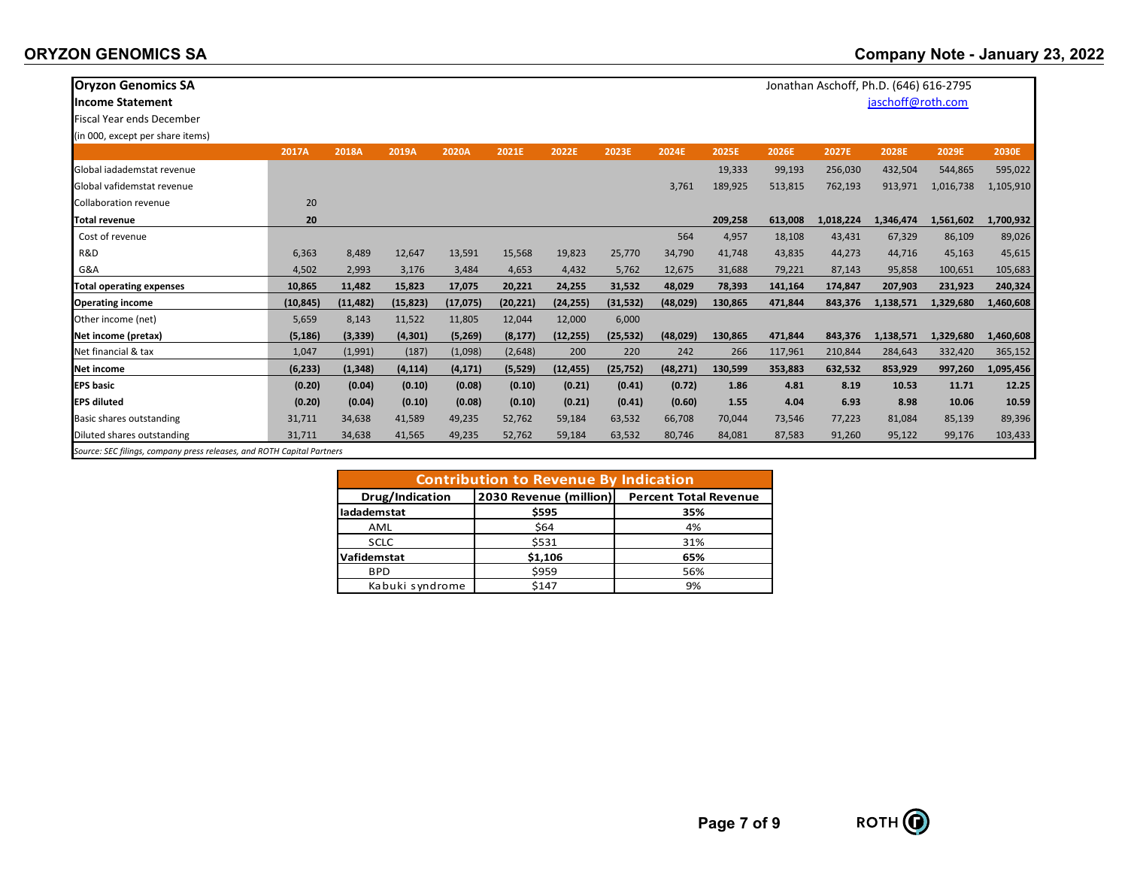## **ORYZON GENOMICS SA**

| <b>Oryzon Genomics SA</b>        |           |           |           |           |           |           |           |           |         |         | Jonathan Aschoff, Ph.D. (646) 616-2795 |                   |           |              |
|----------------------------------|-----------|-----------|-----------|-----------|-----------|-----------|-----------|-----------|---------|---------|----------------------------------------|-------------------|-----------|--------------|
| <b>Income Statement</b>          |           |           |           |           |           |           |           |           |         |         |                                        | jaschoff@roth.com |           |              |
| <b>Fiscal Year ends December</b> |           |           |           |           |           |           |           |           |         |         |                                        |                   |           |              |
| (in 000, except per share items) |           |           |           |           |           |           |           |           |         |         |                                        |                   |           |              |
|                                  | 2017A     | 2018A     | 2019A     | 2020A     | 2021E     | 2022E     | 2023E     | 2024E     | 2025E   | 2026E   | 2027E                                  | 2028E             | 2029E     | <b>2030E</b> |
| Global jadademstat revenue       |           |           |           |           |           |           |           |           | 19,333  | 99,193  | 256,030                                | 432,504           | 544,865   | 595,022      |
| Global vafidemstat revenue       |           |           |           |           |           |           |           | 3,761     | 189,925 | 513,815 | 762,193                                | 913,971           | 1,016,738 | 1,105,910    |
| Collaboration revenue            | 20        |           |           |           |           |           |           |           |         |         |                                        |                   |           |              |
| <b>Total revenue</b>             | 20        |           |           |           |           |           |           |           | 209,258 | 613,008 | 1,018,224                              | 1,346,474         | 1,561,602 | 1,700,932    |
| Cost of revenue                  |           |           |           |           |           |           |           | 564       | 4,957   | 18,108  | 43,431                                 | 67,329            | 86,109    | 89,026       |
| R&D                              | 6,363     | 8,489     | 12,647    | 13,591    | 15,568    | 19,823    | 25,770    | 34,790    | 41,748  | 43,835  | 44,273                                 | 44,716            | 45,163    | 45,615       |
| G&A                              | 4,502     | 2,993     | 3,176     | 3,484     | 4,653     | 4,432     | 5,762     | 12,675    | 31,688  | 79,221  | 87,143                                 | 95,858            | 100,651   | 105,683      |
| <b>Total operating expenses</b>  | 10,865    | 11,482    | 15,823    | 17,075    | 20,221    | 24,255    | 31,532    | 48,029    | 78,393  | 141,164 | 174,847                                | 207,903           | 231,923   | 240,324      |
| <b>Operating income</b>          | (10, 845) | (11, 482) | (15, 823) | (17, 075) | (20, 221) | (24, 255) | (31, 532) | (48, 029) | 130,865 | 471,844 | 843,376                                | 1,138,571         | 1,329,680 | 1,460,608    |
| Other income (net)               | 5,659     | 8,143     | 11,522    | 11,805    | 12,044    | 12,000    | 6,000     |           |         |         |                                        |                   |           |              |
| Net income (pretax)              | (5, 186)  | (3, 339)  | (4, 301)  | (5,269)   | (8, 177)  | (12, 255) | (25, 532) | (48, 029) | 130,865 | 471,844 | 843,376                                | 1,138,571         | 1,329,680 | 1,460,608    |
| Net financial & tax              | 1,047     | (1,991)   | (187)     | (1,098)   | (2,648)   | 200       | 220       | 242       | 266     | 117,961 | 210,844                                | 284,643           | 332,420   | 365,152      |
| Net income                       | (6, 233)  | (1, 348)  | (4, 114)  | (4, 171)  | (5, 529)  | (12, 455) | (25, 752) | (48, 271) | 130,599 | 353,883 | 632,532                                | 853,929           | 997,260   | 1,095,456    |
| <b>EPS basic</b>                 | (0.20)    | (0.04)    | (0.10)    | (0.08)    | (0.10)    | (0.21)    | (0.41)    | (0.72)    | 1.86    | 4.81    | 8.19                                   | 10.53             | 11.71     | 12.25        |
| <b>EPS diluted</b>               | (0.20)    | (0.04)    | (0.10)    | (0.08)    | (0.10)    | (0.21)    | (0.41)    | (0.60)    | 1.55    | 4.04    | 6.93                                   | 8.98              | 10.06     | 10.59        |
| Basic shares outstanding         | 31,711    | 34,638    | 41,589    | 49,235    | 52,762    | 59,184    | 63,532    | 66,708    | 70,044  | 73,546  | 77,223                                 | 81,084            | 85,139    | 89,396       |
| Diluted shares outstanding       | 31,711    | 34,638    | 41,565    | 49,235    | 52,762    | 59,184    | 63,532    | 80,746    | 84,081  | 87,583  | 91,260                                 | 95,122            | 99,176    | 103,433      |

*Source: SEC filings, company press releases, and ROTH Capital Partners*

| <b>Contribution to Revenue By Indication</b> |                        |                              |  |  |  |  |  |  |  |
|----------------------------------------------|------------------------|------------------------------|--|--|--|--|--|--|--|
| Drug/Indication                              | 2030 Revenue (million) | <b>Percent Total Revenue</b> |  |  |  |  |  |  |  |
| ladademstat                                  | \$595                  | 35%                          |  |  |  |  |  |  |  |
| AML                                          | \$64                   | 4%                           |  |  |  |  |  |  |  |
| <b>SCLC</b>                                  | \$531                  | 31%                          |  |  |  |  |  |  |  |
| Vafidemstat                                  | \$1,106                | 65%                          |  |  |  |  |  |  |  |
| <b>BPD</b>                                   | \$959                  | 56%                          |  |  |  |  |  |  |  |
| Kabuki syndrome                              | \$147                  | 9%                           |  |  |  |  |  |  |  |

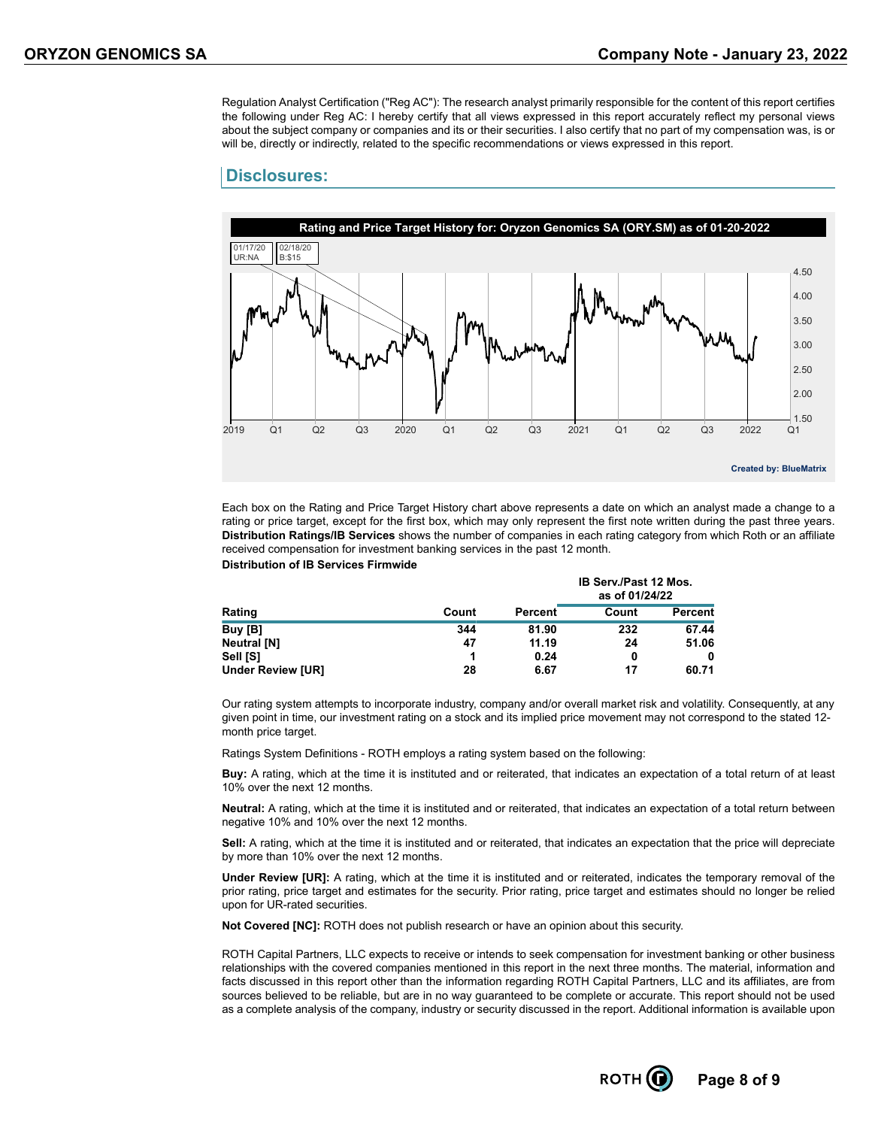Regulation Analyst Certification ("Reg AC"): The research analyst primarily responsible for the content of this report certifies the following under Reg AC: I hereby certify that all views expressed in this report accurately reflect my personal views about the subject company or companies and its or their securities. I also certify that no part of my compensation was, is or will be, directly or indirectly, related to the specific recommendations or views expressed in this report.

#### **Disclosures:**



Each box on the Rating and Price Target History chart above represents a date on which an analyst made a change to a rating or price target, except for the first box, which may only represent the first note written during the past three years. **Distribution Ratings/IB Services** shows the number of companies in each rating category from which Roth or an affiliate received compensation for investment banking services in the past 12 month. **Distribution of IB Services Firmwide**

|                          |       |         | <b>IB Serv./Past 12 Mos.</b><br>as of 01/24/22 |         |  |  |
|--------------------------|-------|---------|------------------------------------------------|---------|--|--|
| Rating                   | Count | Percent | Count                                          | Percent |  |  |
| Buy [B]                  | 344   | 81.90   | 232                                            | 67.44   |  |  |
| <b>Neutral [N]</b>       | 47    | 11.19   | 24                                             | 51.06   |  |  |
| Sell [S]                 |       | 0.24    | 0                                              | 0       |  |  |
| <b>Under Review [UR]</b> | 28    | 6.67    | 17                                             | 60.71   |  |  |

Our rating system attempts to incorporate industry, company and/or overall market risk and volatility. Consequently, at any given point in time, our investment rating on a stock and its implied price movement may not correspond to the stated 12 month price target.

Ratings System Definitions - ROTH employs a rating system based on the following:

**Buy:** A rating, which at the time it is instituted and or reiterated, that indicates an expectation of a total return of at least 10% over the next 12 months.

**Neutral:** A rating, which at the time it is instituted and or reiterated, that indicates an expectation of a total return between negative 10% and 10% over the next 12 months.

Sell: A rating, which at the time it is instituted and or reiterated, that indicates an expectation that the price will depreciate by more than 10% over the next 12 months.

**Under Review [UR]:** A rating, which at the time it is instituted and or reiterated, indicates the temporary removal of the prior rating, price target and estimates for the security. Prior rating, price target and estimates should no longer be relied upon for UR-rated securities.

**Not Covered [NC]:** ROTH does not publish research or have an opinion about this security.

ROTH Capital Partners, LLC expects to receive or intends to seek compensation for investment banking or other business relationships with the covered companies mentioned in this report in the next three months. The material, information and facts discussed in this report other than the information regarding ROTH Capital Partners, LLC and its affiliates, are from sources believed to be reliable, but are in no way guaranteed to be complete or accurate. This report should not be used as a complete analysis of the company, industry or security discussed in the report. Additional information is available upon